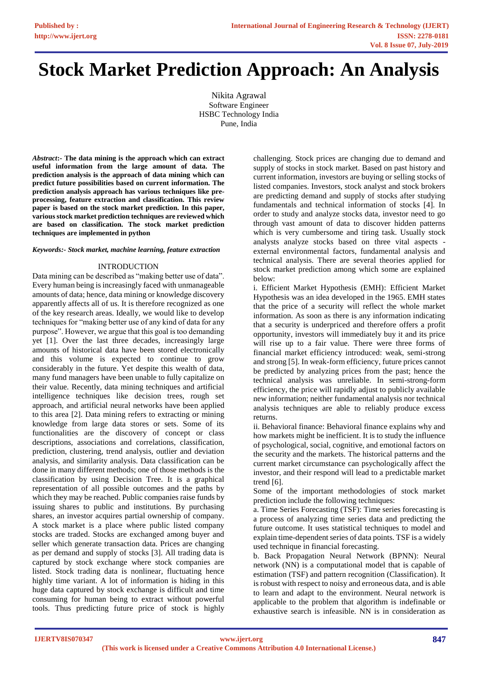# **Stock Market Prediction Approach: An Analysis**

Nikita Agrawal Software Engineer HSBC Technology India Pune, India

*Abstract***:- The data mining is the approach which can extract useful information from the large amount of data. The prediction analysis is the approach of data mining which can predict future possibilities based on current information. The prediction analysis approach has various techniques like preprocessing, feature extraction and classification. This review paper is based on the stock market prediction. In this paper, various stock market prediction techniques are reviewed which are based on classification. The stock market prediction techniques are implemented in python** 

### *Keywords:- Stock market, machine learning, feature extraction*

# INTRODUCTION

Data mining can be described as "making better use of data". Every human being is increasingly faced with unmanageable amounts of data; hence, data mining or knowledge discovery apparently affects all of us. It is therefore recognized as one of the key research areas. Ideally, we would like to develop techniques for "making better use of any kind of data for any purpose". However, we argue that this goal is too demanding yet [1]. Over the last three decades, increasingly large amounts of historical data have been stored electronically and this volume is expected to continue to grow considerably in the future. Yet despite this wealth of data, many fund managers have been unable to fully capitalize on their value. Recently, data mining techniques and artificial intelligence techniques like decision trees, rough set approach, and artificial neural networks have been applied to this area [2]. Data mining refers to extracting or mining knowledge from large data stores or sets. Some of its functionalities are the discovery of concept or class descriptions, associations and correlations, classification, prediction, clustering, trend analysis, outlier and deviation analysis, and similarity analysis. Data classification can be done in many different methods; one of those methods is the classification by using Decision Tree. It is a graphical representation of all possible outcomes and the paths by which they may be reached. Public companies raise funds by issuing shares to public and institutions. By purchasing shares, an investor acquires partial ownership of company. A stock market is a place where public listed company stocks are traded. Stocks are exchanged among buyer and seller which generate transaction data. Prices are changing as per demand and supply of stocks [3]. All trading data is captured by stock exchange where stock companies are listed. Stock trading data is nonlinear, fluctuating hence highly time variant. A lot of information is hiding in this huge data captured by stock exchange is difficult and time consuming for human being to extract without powerful tools. Thus predicting future price of stock is highly

challenging. Stock prices are changing due to demand and supply of stocks in stock market. Based on past history and current information, investors are buying or selling stocks of listed companies. Investors, stock analyst and stock brokers are predicting demand and supply of stocks after studying fundamentals and technical information of stocks [4]. In order to study and analyze stocks data, investor need to go through vast amount of data to discover hidden patterns which is very cumbersome and tiring task. Usually stock analysts analyze stocks based on three vital aspects external environmental factors, fundamental analysis and technical analysis. There are several theories applied for stock market prediction among which some are explained below:

i. Efficient Market Hypothesis (EMH): Efficient Market Hypothesis was an idea developed in the 1965. EMH states that the price of a security will reflect the whole market information. As soon as there is any information indicating that a security is underpriced and therefore offers a profit opportunity, investors will immediately buy it and its price will rise up to a fair value. There were three forms of financial market efficiency introduced: weak, semi-strong and strong [5]. In weak-form efficiency, future prices cannot be predicted by analyzing prices from the past; hence the technical analysis was unreliable. In semi-strong-form efficiency, the price will rapidly adjust to publicly available new information; neither fundamental analysis nor technical analysis techniques are able to reliably produce excess returns.

ii. Behavioral finance: Behavioral finance explains why and how markets might be inefficient. It is to study the influence of psychological, social, cognitive, and emotional factors on the security and the markets. The historical patterns and the current market circumstance can psychologically affect the investor, and their respond will lead to a predictable market trend [6].

Some of the important methodologies of stock market prediction include the following techniques:

a. Time Series Forecasting (TSF): Time series forecasting is a process of analyzing time series data and predicting the future outcome. It uses statistical techniques to model and explain time-dependent series of data points. TSF is a widely used technique in financial forecasting.

b. Back Propagation Neural Network (BPNN): Neural network (NN) is a computational model that is capable of estimation (TSF) and pattern recognition (Classification). It is robust with respect to noisy and erroneous data, and is able to learn and adapt to the environment. Neural network is applicable to the problem that algorithm is indefinable or exhaustive search is infeasible. NN is in consideration as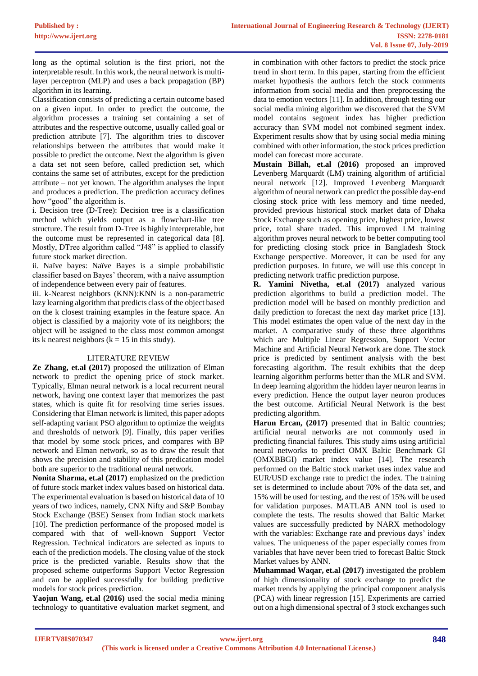long as the optimal solution is the first priori, not the interpretable result. In this work, the neural network is multilayer perceptron (MLP) and uses a back propagation (BP) algorithm in its learning.

Classification consists of predicting a certain outcome based on a given input. In order to predict the outcome, the algorithm processes a training set containing a set of attributes and the respective outcome, usually called goal or prediction attribute [7]. The algorithm tries to discover relationships between the attributes that would make it possible to predict the outcome. Next the algorithm is given a data set not seen before, called prediction set, which contains the same set of attributes, except for the prediction attribute – not yet known. The algorithm analyses the input and produces a prediction. The prediction accuracy defines how "good" the algorithm is.

i. Decision tree (D-Tree): Decision tree is a classification method which yields output as a flowchart-like tree structure. The result from D-Tree is highly interpretable, but the outcome must be represented in categorical data [8]. Mostly, DTree algorithm called "J48" is applied to classify future stock market direction.

ii. Naïve bayes: Naïve Bayes is a simple probabilistic classifier based on Bayes' theorem, with a naive assumption of independence between every pair of features.

iii. k-Nearest neighbors (KNN):KNN is a non-parametric lazy learning algorithm that predicts class of the object based on the k closest training examples in the feature space. An object is classified by a majority vote of its neighbors; the object will be assigned to the class most common amongst its k nearest neighbors ( $k = 15$  in this study).

# LITERATURE REVIEW

**Ze Zhang, et.al (2017)** proposed the utilization of Elman network to predict the opening price of stock market. Typically, Elman neural network is a local recurrent neural network, having one context layer that memorizes the past states, which is quite fit for resolving time series issues. Considering that Elman network is limited, this paper adopts self-adapting variant PSO algorithm to optimize the weights and thresholds of network [9]. Finally, this paper verifies that model by some stock prices, and compares with BP network and Elman network, so as to draw the result that shows the precision and stability of this predication model both are superior to the traditional neural network.

**Nonita Sharma, et.al (2017)** emphasized on the prediction of future stock market index values based on historical data. The experimental evaluation is based on historical data of 10 years of two indices, namely, CNX Nifty and S&P Bombay Stock Exchange (BSE) Sensex from Indian stock markets [10]. The prediction performance of the proposed model is compared with that of well-known Support Vector Regression. Technical indicators are selected as inputs to each of the prediction models. The closing value of the stock price is the predicted variable. Results show that the proposed scheme outperforms Support Vector Regression and can be applied successfully for building predictive models for stock prices prediction.

**Yaojun Wang, et.al (2016)** used the social media mining technology to quantitative evaluation market segment, and in combination with other factors to predict the stock price trend in short term. In this paper, starting from the efficient market hypothesis the authors fetch the stock comments information from social media and then preprocessing the data to emotion vectors [11]. In addition, through testing our social media mining algorithm we discovered that the SVM model contains segment index has higher prediction accuracy than SVM model not combined segment index. Experiment results show that by using social media mining combined with other information, the stock prices prediction model can forecast more accurate.

**Mustain Billah, et.al (2016)** proposed an improved Levenberg Marquardt (LM) training algorithm of artificial neural network [12]. Improved Levenberg Marquardt algorithm of neural network can predict the possible day-end closing stock price with less memory and time needed, provided previous historical stock market data of Dhaka Stock Exchange such as opening price, highest price, lowest price, total share traded. This improved LM training algorithm proves neural network to be better computing tool for predicting closing stock price in Bangladesh Stock Exchange perspective. Moreover, it can be used for any prediction purposes. In future, we will use this concept in predicting network traffic prediction purpose.

**R. Yamini Nivetha, et.al (2017)** analyzed various prediction algorithms to build a prediction model. The prediction model will be based on monthly prediction and daily prediction to forecast the next day market price [13]. This model estimates the open value of the next day in the market. A comparative study of these three algorithms which are Multiple Linear Regression, Support Vector Machine and Artificial Neural Network are done. The stock price is predicted by sentiment analysis with the best forecasting algorithm. The result exhibits that the deep learning algorithm performs better than the MLR and SVM. In deep learning algorithm the hidden layer neuron learns in every prediction. Hence the output layer neuron produces the best outcome. Artificial Neural Network is the best predicting algorithm.

**Harun Ercan, (2017)** presented that in Baltic countries; artificial neural networks are not commonly used in predicting financial failures. This study aims using artificial neural networks to predict OMX Baltic Benchmark GI (OMXBBGI) market index value [14]. The research performed on the Baltic stock market uses index value and EUR/USD exchange rate to predict the index. The training set is determined to include about 70% of the data set, and 15% will be used for testing, and the rest of 15% will be used for validation purposes. MATLAB ANN tool is used to complete the tests. The results showed that Baltic Market values are successfully predicted by NARX methodology with the variables: Exchange rate and previous days' index values. The uniqueness of the paper especially comes from variables that have never been tried to forecast Baltic Stock Market values by ANN.

**Muhammad Waqar, et.al (2017)** investigated the problem of high dimensionality of stock exchange to predict the market trends by applying the principal component analysis (PCA) with linear regression [15]. Experiments are carried out on a high dimensional spectral of 3 stock exchanges such